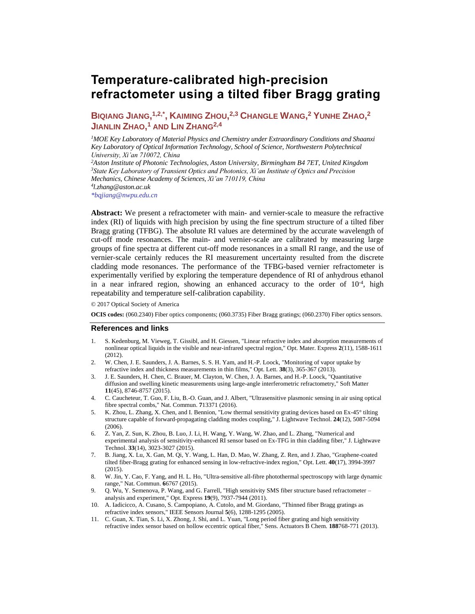# **Temperature-calibrated high-precision refractometer using a tilted fiber Bragg grating**

BIQIANG JIANG, <sup>1,2,\*</sup>, KAIMING ZHOU, <sup>2,3</sup> CHANGLE WANG, <sup>2</sup> YUNHE ZHAO, <sup>2</sup> **JIANLIN ZHAO, <sup>1</sup> AND LIN ZHANG2,4**

*<sup>1</sup>MOE Key Laboratory of Material Physics and Chemistry under Extraordinary Conditions and Shaanxi Key Laboratory of Optical Information Technology, School of Science, Northwestern Polytechnical University, Xi'an 710072, China*

*<sup>2</sup>Aston Institute of Photonic Technologies, Aston University, Birmingham B4 7ET, United Kingdom <sup>3</sup>State Key Laboratory of Transient Optics and Photonics, Xi'an Institute of Optics and Precision Mechanics, Chinese Academy of Sciences, Xi'an 710119, China 4 [l.](mailto:4)zhang@aston.ac.uk [\\*bqjiang@nwpu.edu.cn](mailto:*bqjiang@nwpu.edu.cn)*

**Abstract:** We present a refractometer with main- and vernier-scale to measure the refractive index (RI) of liquids with high precision by using the fine spectrum structure of a tilted fiber Bragg grating (TFBG). The absolute RI values are determined by the accurate wavelength of cut-off mode resonances. The main- and vernier-scale are calibrated by measuring large groups of fine spectra at different cut-off mode resonances in a small RI range, and the use of vernier-scale certainly reduces the RI measurement uncertainty resulted from the discrete cladding mode resonances. The performance of the TFBG-based vernier refractometer is experimentally verified by exploring the temperature dependence of RI of anhydrous ethanol in a near infrared region, showing an enhanced accuracy to the order of  $10^{-4}$ , high repeatability and temperature self-calibration capability.

© 2017 Optical Society of America

**OCIS codes:** (060.2340) Fiber optics components; (060.3735) Fiber Bragg gratings; (060.2370) Fiber optics sensors.

#### **References and links**

- <span id="page-0-0"></span>1. S. Kedenburg, M. Vieweg, T. Gissibl, and H. Giessen, "Linear refractive index and absorption measurements of nonlinear optical liquids in the visible and near-infrared spectral region," Opt. Mater. Express **2**(11), 1588-1611 (2012).
- 2. W. Chen, J. E. Saunders, J. A. Barnes, S. S. H. Yam, and H.-P. Loock, "Monitoring of vapor uptake by refractive index and thickness measurements in thin films," Opt. Lett. **38**(3), 365-367 (2013).
- 3. J. E. Saunders, H. Chen, C. Brauer, M. Clayton, W. Chen, J. A. Barnes, and H.-P. Loock, "Quantitative diffusion and swelling kinetic measurements using large-angle interferometric refractometry," Soft Matter **11**(45), 8746-8757 (2015).
- <span id="page-0-1"></span>4. C. Caucheteur, T. Guo, F. Liu, B.-O. Guan, and J. Albert, "Ultrasensitive plasmonic sensing in air using optical fibre spectral combs," Nat. Commun. **7**13371 (2016).
- 5. K. Zhou, L. Zhang, X. Chen, and I. Bennion, "Low thermal sensitivity grating devices based on Ex-45° tilting structure capable of forward-propagating cladding modes coupling," J. Lightwave Technol. **24**(12), 5087-5094 (2006).
- 6. Z. Yan, Z. Sun, K. Zhou, B. Luo, J. Li, H. Wang, Y. Wang, W. Zhao, and L. Zhang, "Numerical and experimental analysis of sensitivity-enhanced RI sensor based on Ex-TFG in thin cladding fiber," J. Lightwave Technol. **33**(14), 3023-3027 (2015).
- 7. B. Jiang, X. Lu, X. Gan, M. Qi, Y. Wang, L. Han, D. Mao, W. Zhang, Z. Ren, and J. Zhao, "Graphene-coated tilted fiber-Bragg grating for enhanced sensing in low-refractive-index region," Opt. Lett. **40**(17), 3994-3997 (2015).
- 8. W. Jin, Y. Cao, F. Yang, and H. L. Ho, "Ultra-sensitive all-fibre photothermal spectroscopy with large dynamic range," Nat. Commun. **6**6767 (2015).
- 9. Q. Wu, Y. Semenova, P. Wang, and G. Farrell, "High sensitivity SMS fiber structure based refractometer analysis and experiment," Opt. Express **19**(9), 7937-7944 (2011).
- 10. A. Iadicicco, A. Cusano, S. Campopiano, A. Cutolo, and M. Giordano, "Thinned fiber Bragg gratings as refractive index sensors," IEEE Sensors Journal **5**(6), 1288-1295 (2005).
- 11. C. Guan, X. Tian, S. Li, X. Zhong, J. Shi, and L. Yuan, "Long period fiber grating and high sensitivity refractive index sensor based on hollow eccentric optical fiber," Sens. Actuators B Chem. **188**768-771 (2013).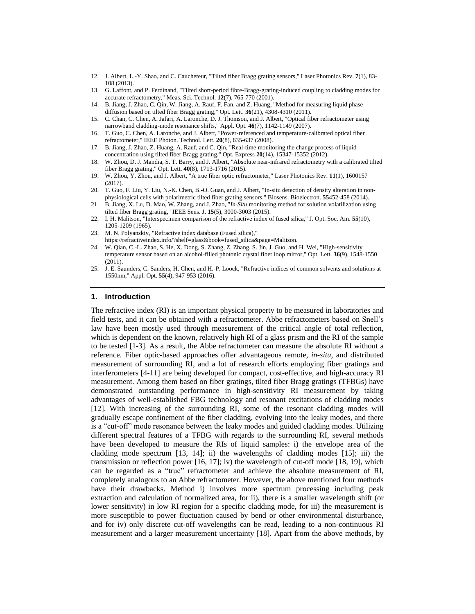- <span id="page-1-0"></span>12. J. Albert, L.-Y. Shao, and C. Caucheteur, "Tilted fiber Bragg grating sensors," Laser Photonics Rev. **7**(1), 83- 108 (2013).
- <span id="page-1-1"></span>13. G. Laffont, and P. Ferdinand, "Tilted short-period fibre-Bragg-grating-induced coupling to cladding modes for accurate refractometry," Meas. Sci. Technol. **12**(7), 765-770 (2001).
- <span id="page-1-2"></span>14. B. Jiang, J. Zhao, C. Qin, W. Jiang, A. Rauf, F. Fan, and Z. Huang, "Method for measuring liquid phase diffusion based on tilted fiber Bragg grating," Opt. Lett. **36**(21), 4308-4310 (2011).
- <span id="page-1-3"></span>15. C. Chan, C. Chen, A. Jafari, A. Laronche, D. J. Thomson, and J. Albert, "Optical fiber refractometer using narrowband cladding-mode resonance shifts," Appl. Opt. **46**(7), 1142-1149 (2007).
- <span id="page-1-4"></span>16. T. Guo, C. Chen, A. Laronche, and J. Albert, "Power-referenced and temperature-calibrated optical fiber refractometer," IEEE Photon. Technol. Lett. **20**(8), 635-637 (2008).
- <span id="page-1-5"></span>17. B. Jiang, J. Zhao, Z. Huang, A. Rauf, and C. Qin, "Real-time monitoring the change process of liquid concentration using tilted fiber Bragg grating," Opt. Express **20**(14), 15347-15352 (2012).
- <span id="page-1-6"></span>18. W. Zhou, D. J. Mandia, S. T. Barry, and J. Albert, "Absolute near-infrared refractometry with a calibrated tilted fiber Bragg grating," Opt. Lett. **40**(8), 1713-1716 (2015).
- <span id="page-1-7"></span>19. W. Zhou, Y. Zhou, and J. Albert, "A true fiber optic refractometer," Laser Photonics Rev. **11**(1), 1600157 (2017).
- <span id="page-1-8"></span>20. T. Guo, F. Liu, Y. Liu, N.-K. Chen, B.-O. Guan, and J. Albert, "In-situ detection of density alteration in nonphysiological cells with polarimetric tilted fiber grating sensors," Biosens. Bioelectron. **55**452-458 (2014).
- <span id="page-1-9"></span>21. B. Jiang, X. Lu, D. Mao, W. Zhang, and J. Zhao, "*In-Situ* monitoring method for solution volatilization using tilted fiber Bragg grating," IEEE Sens. J. **15**(5), 3000-3003 (2015).
- <span id="page-1-10"></span>22. I. H. Malitson, "Interspecimen comparison of the refractive index of fused silica," J. Opt. Soc. Am. **55**(10), 1205-1209 (1965).
- <span id="page-1-11"></span>23. M. N. Polyanskiy, "Refractive index database (Fused silica),"
- <span id="page-1-12"></span>https://refractiveindex.info/?shelf=glass&book=fused\_silica&page=Malitson. 24. W. Qian, C.-L. Zhao, S. He, X. Dong, S. Zhang, Z. Zhang, S. Jin, J. Guo, and H. Wei, "High-sensitivity temperature sensor based on an alcohol-filled photonic crystal fiber loop mirror," Opt. Lett. **36**(9), 1548-1550 (2011).
- <span id="page-1-13"></span>25. J. E. Saunders, C. Sanders, H. Chen, and H.-P. Loock, "Refractive indices of common solvents and solutions at 1550nm," Appl. Opt. **55**(4), 947-953 (2016).

#### **1. Introduction**

The refractive index (RI) is an important physical property to be measured in laboratories and field tests, and it can be obtained with a refractometer. Abbe refractometers based on Snell's law have been mostly used through measurement of the critical angle of total reflection, which is dependent on the known, relatively high RI of a glass prism and the RI of the sample to be tested [\[1-3\]](#page-0-0). As a result, the Abbe refractometer can measure the absolute RI without a reference. Fiber optic-based approaches offer advantageous remote, *in-situ*, and distributed measurement of surrounding RI, and a lot of research efforts employing fiber gratings and interferometers [\[4-11\]](#page-0-1) are being developed for compact, cost-effective, and high-accuracy RI measurement. Among them based on fiber gratings, tilted fiber Bragg gratings (TFBGs) have demonstrated outstanding performance in high-sensitivity RI measurement by taking advantages of well-established FBG technology and resonant excitations of cladding modes [\[12\]](#page-1-0). With increasing of the surrounding RI, some of the resonant cladding modes will gradually escape confinement of the fiber cladding, evolving into the leaky modes, and there is a "cut-off" mode resonance between the leaky modes and guided cladding modes. Utilizing different spectral features of a TFBG with regards to the surrounding RI, several methods have been developed to measure the RIs of liquid samples: i) the envelope area of the cladding mode spectrum  $[13, 14]$  $[13, 14]$  $[13, 14]$ ; ii) the wavelengths of cladding modes  $[15]$ ; iii) the transmission or reflection power [\[16,](#page-1-4) [17\]](#page-1-5); iv) the wavelength of cut-off mode [\[18,](#page-1-6) [19\]](#page-1-7), which can be regarded as a "true" refractometer and achieve the absolute measurement of RI, completely analogous to an Abbe refractometer. However, the above mentioned four methods have their drawbacks. Method i) involves more spectrum processing including peak extraction and calculation of normalized area, for ii), there is a smaller wavelength shift (or lower sensitivity) in low RI region for a specific cladding mode, for iii) the measurement is more susceptible to power fluctuation caused by bend or other environmental disturbance, and for iv) only discrete cut-off wavelengths can be read, leading to a non-continuous RI measurement and a larger measurement uncertainty [\[18\]](#page-1-6). Apart from the above methods, by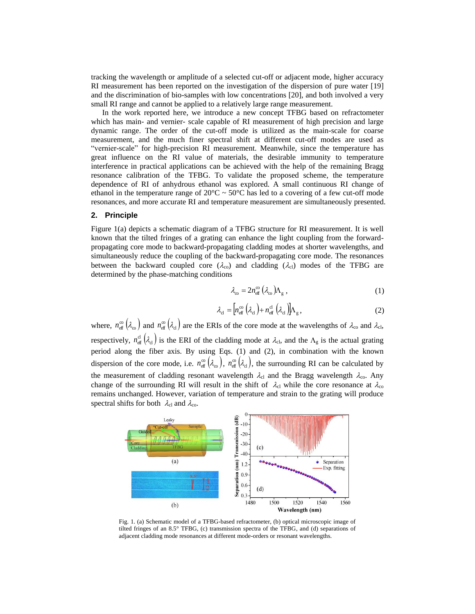tracking the wavelength or amplitude of a selected cut-off or adjacent mode, higher accuracy RI measurement has been reported on the investigation of the dispersion of pure water [\[19\]](#page-1-7) and the discrimination of bio-samples with low concentrations [\[20\]](#page-1-8), and both involved a very small RI range and cannot be applied to a relatively large range measurement.

In the work reported here, we introduce a new concept TFBG based on refractometer which has main- and vernier- scale capable of RI measurement of high precision and large dynamic range. The order of the cut-off mode is utilized as the main-scale for coarse measurement, and the much finer spectral shift at different cut-off modes are used as "vernier-scale" for high-precision RI measurement. Meanwhile, since the temperature has great influence on the RI value of materials, the desirable immunity to temperature interference in practical applications can be achieved with the help of the remaining Bragg resonance calibration of the TFBG. To validate the proposed scheme, the temperature dependence of RI of anhydrous ethanol was explored. A small continuous RI change of ethanol in the temperature range of  $20^{\circ}$ C ~  $50^{\circ}$ C has led to a covering of a few cut-off mode resonances, and more accurate RI and temperature measurement are simultaneously presented.

# **2. Principle**

Figure 1(a) depicts a schematic diagram of a TFBG structure for RI measurement. It is well known that the tilted fringes of a grating can enhance the light coupling from the forwardpropagating core mode to backward-propagating cladding modes at shorter wavelengths, and simultaneously reduce the coupling of the backward-propagating core mode. The resonances between the backward coupled core ( $\lambda_{\rm co}$ ) and cladding ( $\lambda_{\rm cl}$ ) modes of the TFBG are determined by the phase-matching conditions

$$
\lambda_{\rm co} = 2n_{\rm eff}^{\rm co} \left(\lambda_{\rm co}\right) \Lambda_{\rm g} \,, \tag{1}
$$

$$
\lambda_{\rm cl} = \left[ n_{\rm eff}^{\rm co} \left( \lambda_{\rm cl} \right) + n_{\rm eff}^{\rm cl} \left( \lambda_{\rm cl} \right) \right] \Lambda_{\rm g}, \tag{2}
$$

where,  $n_{\text{eff}}^{\infty}(\lambda_{\infty})$  and  $n_{\text{eff}}^{\infty}(\lambda_{\text{cl}})$  are the ERIs of the core mode at the wavelengths of  $\lambda_{\text{co}}$  and  $\lambda_{\text{cl}}$ , respectively,  $n_{\text{eff}}^{\text{cl}}(\lambda_{\text{cl}})$  is the ERI of the cladding mode at  $\lambda_{\text{cl}}$ , and the  $\Lambda_{g}$  is the actual grating period along the fiber axis. By using Eqs. (1) and (2), in combination with the known dispersion of the core mode, i.e.  $n_{\text{eff}}^{\infty}(\lambda_{\infty})$ ,  $n_{\text{eff}}^{\infty}(\lambda_{\text{cl}})$ , the surrounding RI can be calculated by the measurement of cladding resonant wavelength  $\lambda_{cl}$  and the Bragg wavelength  $\lambda_{co}$ . Any change of the surrounding RI will result in the shift of  $\lambda_{cl}$  while the core resonance at  $\lambda_{co}$ remains unchanged. However, variation of temperature and strain to the grating will produce spectral shifts for both  $\lambda_{\rm cl}$  and  $\lambda_{\rm co}$ .



Fig. 1. (a) Schematic model of a TFBG-based refractometer, (b) optical microscopic image of tilted fringes of an 8.5° TFBG, (c) transmission spectra of the TFBG, and (d) separations of adjacent cladding mode resonances at different mode-orders or resonant wavelengths.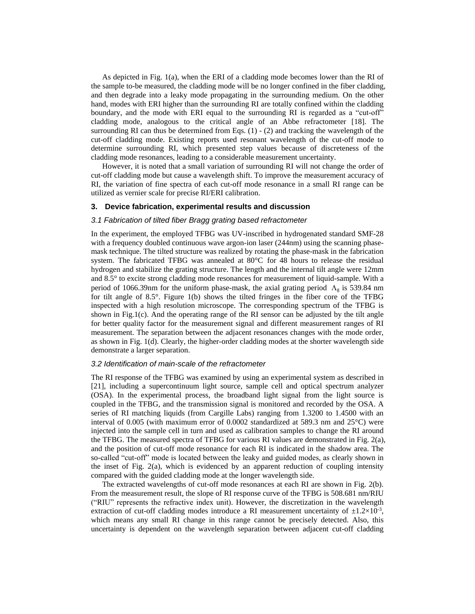As depicted in Fig. 1(a), when the ERI of a cladding mode becomes lower than the RI of the sample to-be measured, the cladding mode will be no longer confined in the fiber cladding, and then degrade into a leaky mode propagating in the surrounding medium. On the other hand, modes with ERI higher than the surrounding RI are totally confined within the cladding boundary, and the mode with ERI equal to the surrounding RI is regarded as a "cut-off" cladding mode, analogous to the critical angle of an Abbe refractometer [\[18\]](#page-1-6). The surrounding RI can thus be determined from Eqs.  $(1)$  -  $(2)$  and tracking the wavelength of the cut-off cladding mode. Existing reports used resonant wavelength of the cut-off mode to determine surrounding RI, which presented step values because of discreteness of the cladding mode resonances, leading to a considerable measurement uncertainty.

However, it is noted that a small variation of surrounding RI will not change the order of cut-off cladding mode but cause a wavelength shift. To improve the measurement accuracy of RI, the variation of fine spectra of each cut-off mode resonance in a small RI range can be utilized as vernier scale for precise RI/ERI calibration.

# **3. Device fabrication, experimental results and discussion**

#### *3.1 Fabrication of tilted fiber Bragg grating based refractometer*

In the experiment, the employed TFBG was UV-inscribed in hydrogenated standard SMF-28 with a frequency doubled continuous wave argon-ion laser (244nm) using the scanning phasemask technique. The tilted structure was realized by rotating the phase-mask in the fabrication system. The fabricated TFBG was annealed at 80°C for 48 hours to release the residual hydrogen and stabilize the grating structure. The length and the internal tilt angle were 12mm and 8.5°to excite strong cladding mode resonances for measurement of liquid-sample. With a period of 1066.39nm for the uniform phase-mask, the axial grating period  $\Lambda_g$  is 539.84 nm for tilt angle of 8.5°. Figure 1(b) shows the tilted fringes in the fiber core of the TFBG inspected with a high resolution microscope. The corresponding spectrum of the TFBG is shown in Fig.1(c). And the operating range of the RI sensor can be adjusted by the tilt angle for better quality factor for the measurement signal and different measurement ranges of RI measurement. The separation between the adjacent resonances changes with the mode order, as shown in Fig. 1(d). Clearly, the higher-order cladding modes at the shorter wavelength side demonstrate a larger separation.

#### *3.2 Identification of main-scale of the refractometer*

The RI response of the TFBG was examined by using an experimental system as described in [\[21\]](#page-1-9), including a supercontinuum light source, sample cell and optical spectrum analyzer (OSA). In the experimental process, the broadband light signal from the light source is coupled in the TFBG, and the transmission signal is monitored and recorded by the OSA. A series of RI matching liquids (from Cargille Labs) ranging from 1.3200 to 1.4500 with an interval of 0.005 (with maximum error of 0.0002 standardized at 589.3 nm and 25°C) were injected into the sample cell in turn and used as calibration samples to change the RI around the TFBG. The measured spectra of TFBG for various RI values are demonstrated in Fig. 2(a), and the position of cut-off mode resonance for each RI is indicated in the shadow area. The so-called "cut-off" mode is located between the leaky and guided modes, as clearly shown in the inset of Fig.  $2(a)$ , which is evidenced by an apparent reduction of coupling intensity compared with the guided cladding mode at the longer wavelength side.

The extracted wavelengths of cut-off mode resonances at each RI are shown in Fig. 2(b). From the measurement result, the slope of RI response curve of the TFBG is 508.681 nm/RIU ("RIU" represents the refractive index unit). However, the discretization in the wavelength extraction of cut-off cladding modes introduce a RI measurement uncertainty of  $\pm 1.2 \times 10^{-3}$ , which means any small RI change in this range cannot be precisely detected. Also, this uncertainty is dependent on the wavelength separation between adjacent cut-off cladding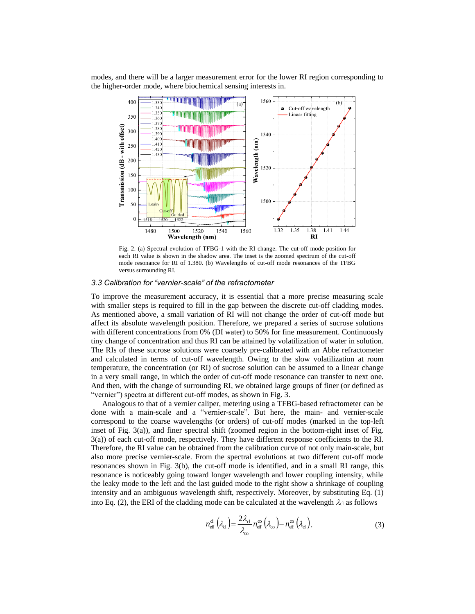modes, and there will be a larger measurement error for the lower RI region corresponding to the higher-order mode, where biochemical sensing interests in.



Fig. 2. (a) Spectral evolution of TFBG-1 with the RI change. The cut-off mode position for each RI value is shown in the shadow area. The inset is the zoomed spectrum of the cut-off mode resonance for RI of 1.380. (b) Wavelengths of cut-off mode resonances of the TFBG versus surrounding RI.

# *3.3 Calibration for "vernier-scale" of the refractometer*

To improve the measurement accuracy, it is essential that a more precise measuring scale with smaller steps is required to fill in the gap between the discrete cut-off cladding modes. As mentioned above, a small variation of RI will not change the order of cut-off mode but affect its absolute wavelength position. Therefore, we prepared a series of sucrose solutions with different concentrations from 0% (DI water) to 50% for fine measurement. Continuously tiny change of concentration and thus RI can be attained by volatilization of water in solution. The RIs of these sucrose solutions were coarsely pre-calibrated with an Abbe refractometer and calculated in terms of cut-off wavelength. Owing to the slow volatilization at room temperature, the concentration (or RI) of sucrose solution can be assumed to a linear change in a very small range, in which the order of cut-off mode resonance can transfer to next one. And then, with the change of surrounding RI, we obtained large groups of finer (or defined as "vernier") spectra at different cut-off modes, as shown in Fig. 3.

Analogous to that of a vernier caliper, metering using a TFBG-based refractometer can be done with a main-scale and a "vernier-scale". But here, the main- and vernier-scale correspond to the coarse wavelengths (or orders) of cut-off modes (marked in the top-left inset of Fig. 3(a)), and finer spectral shift (zoomed region in the bottom-right inset of Fig. 3(a)) of each cut-off mode, respectively. They have different response coefficients to the RI. Therefore, the RI value can be obtained from the calibration curve of not only main-scale, but also more precise vernier-scale. From the spectral evolutions at two different cut-off mode resonances shown in Fig. 3(b), the cut-off mode is identified, and in a small RI range, this resonance is noticeably going toward longer wavelength and lower coupling intensity, while the leaky mode to the left and the last guided mode to the right show a shrinkage of coupling intensity and an ambiguous wavelength shift, respectively. Moreover, by substituting Eq. (1) into Eq. (2), the ERI of the cladding mode can be calculated at the wavelength  $\lambda_{cl}$  as follows

$$
n_{\text{eff}}^{\text{cl}}\left(\lambda_{\text{cl}}\right) = \frac{2\lambda_{\text{cl}}}{\lambda_{\text{co}}} n_{\text{eff}}^{\text{co}}\left(\lambda_{\text{co}}\right) - n_{\text{eff}}^{\text{co}}\left(\lambda_{\text{cl}}\right). \tag{3}
$$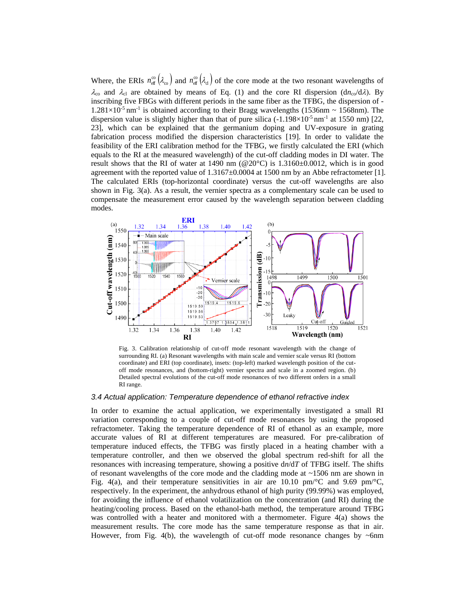Where, the ERIs  $n_{\text{eff}}^{\infty}(\lambda_{\infty})$  and  $n_{\text{eff}}^{\infty}(\lambda_{\text{cl}})$  of the core mode at the two resonant wavelengths of  $\lambda_{\rm co}$  and  $\lambda_{\rm cl}$  are obtained by means of Eq. (1) and the core RI dispersion (dn<sub>co</sub>/d $\lambda$ ). By inscribing five FBGs with different periods in the same fiber as the TFBG, the dispersion of -  $1.281\times10^{-5}$  nm<sup>-1</sup> is obtained according to their Bragg wavelengths (1536nm ~ 1568nm). The dispersion value is slightly higher than that of pure silica  $(-1.198\times10^{-5}$  nm<sup>-1</sup> at 1550 nm) [\[22,](#page-1-10) [23\]](#page-1-11), which can be explained that the germanium doping and UV-exposure in grating fabrication process modified the dispersion characteristics [\[19\]](#page-1-7). In order to validate the feasibility of the ERI calibration method for the TFBG, we firstly calculated the ERI (which equals to the RI at the measured wavelength) of the cut-off cladding modes in DI water. The result shows that the RI of water at 1490 nm ( $@20^{\circ}$ C) is 1.3160±0.0012, which is in good agreement with the reported value of 1.3167±0.0004 at 1500 nm by an Abbe refractometer [\[1\]](#page-0-0). The calculated ERIs (top-horizontal coordinate) versus the cut-off wavelengths are also shown in Fig. 3(a). As a result, the vernier spectra as a complementary scale can be used to compensate the measurement error caused by the wavelength separation between cladding modes.



Fig. 3. Calibration relationship of cut-off mode resonant wavelength with the change of surrounding RI. (a) Resonant wavelengths with main scale and vernier scale versus RI (bottom coordinate) and ERI (top coordinate), insets: (top-left) marked wavelength position of the cutoff mode resonances, and (bottom-right) vernier spectra and scale in a zoomed region. (b) Detailed spectral evolutions of the cut-off mode resonances of two different orders in a small RI range.

# *3.4 Actual application: Temperature dependence of ethanol refractive index*

In order to examine the actual application, we experimentally investigated a small RI variation corresponding to a couple of cut-off mode resonances by using the proposed refractometer. Taking the temperature dependence of RI of ethanol as an example, more accurate values of RI at different temperatures are measured. For pre-calibration of temperature induced effects, the TFBG was firstly placed in a heating chamber with a temperature controller, and then we observed the global spectrum red-shift for all the resonances with increasing temperature, showing a positive d*n*/d*T* of TFBG itself. The shifts of resonant wavelengths of the core mode and the cladding mode at  $\sim$ 1506 nm are shown in Fig. 4(a), and their temperature sensitivities in air are 10.10 pm/ $\rm{^{\circ}C}$  and 9.69 pm/ $\rm{^{\circ}C}$ , respectively. In the experiment, the anhydrous ethanol of high purity (99.99%) was employed, for avoiding the influence of ethanol volatilization on the concentration (and RI) during the heating/cooling process. Based on the ethanol-bath method, the temperature around TFBG was controlled with a heater and monitored with a thermometer. Figure 4(a) shows the measurement results. The core mode has the same temperature response as that in air. However, from Fig. 4(b), the wavelength of cut-off mode resonance changes by  $\sim$ 6nm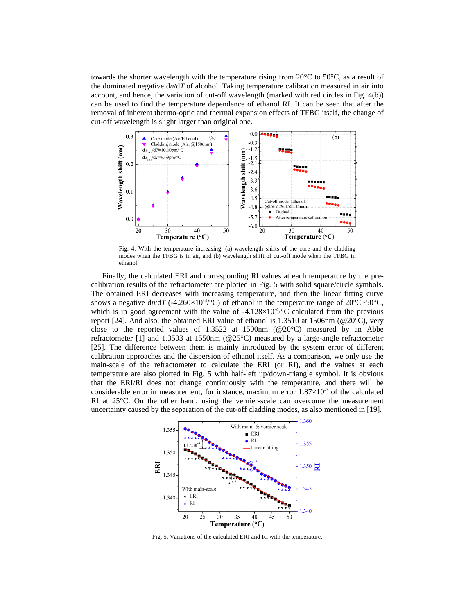towards the shorter wavelength with the temperature rising from  $20^{\circ}$ C to  $50^{\circ}$ C, as a result of the dominated negative  $dn/dT$  of alcohol. Taking temperature calibration measured in air into account, and hence, the variation of cut-off wavelength (marked with red circles in Fig. 4(b)) can be used to find the temperature dependence of ethanol RI. It can be seen that after the removal of inherent thermo-optic and thermal expansion effects of TFBG itself, the change of cut-off wavelength is slight larger than original one.



Fig. 4. With the temperature increasing, (a) wavelength shifts of the core and the cladding modes when the TFBG is in air, and (b) wavelength shift of cut-off mode when the TFBG in ethanol.

Finally, the calculated ERI and corresponding RI values at each temperature by the precalibration results of the refractometer are plotted in Fig. 5 with solid square/circle symbols. The obtained ERI decreases with increasing temperature, and then the linear fitting curve shows a negative  $dn/dT$  (-4.260×10<sup>-4</sup>/°C) of ethanol in the temperature range of 20°C~50°C, which is in good agreement with the value of  $-4.128 \times 10^{-4/9}$ C calculated from the previous report [\[24\]](#page-1-12). And also, the obtained ERI value of ethanol is 1.3510 at 1506nm ( $@20^{\circ}$ C), very close to the reported values of 1.3522 at 1500nm ( $@20^{\circ}$ C) measured by an Abbe refractometer [\[1\]](#page-0-0) and 1.3503 at 1550nm (@25°C) measured by a large-angle refractometer [\[25\]](#page-1-13). The difference between them is mainly introduced by the system error of different calibration approaches and the dispersion of ethanol itself. As a comparison, we only use the main-scale of the refractometer to calculate the ERI (or RI), and the values at each temperature are also plotted in Fig. 5 with half-left up/down-triangle symbol. It is obvious that the ERI/RI does not change continuously with the temperature, and there will be considerable error in measurement, for instance, maximum error  $1.87\times10^{-3}$  of the calculated RI at 25°C. On the other hand, using the vernier-scale can overcome the measurement uncertainty caused by the separation of the cut-off cladding modes, as also mentioned in [\[19\]](#page-1-7).



Fig. 5. Variations of the calculated ERI and RI with the temperature.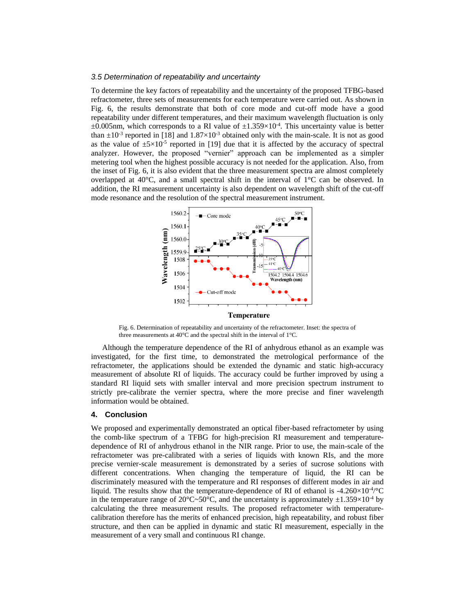# *3.5 Determination of repeatability and uncertainty*

To determine the key factors of repeatability and the uncertainty of the proposed TFBG-based refractometer, three sets of measurements for each temperature were carried out. As shown in Fig. 6, the results demonstrate that both of core mode and cut-off mode have a good repeatability under different temperatures, and their maximum wavelength fluctuation is only  $\pm 0.005$ nm, which corresponds to a RI value of  $\pm 1.359 \times 10^{-4}$ . This uncertainty value is better than  $\pm 10^{-3}$  reported in [\[18\]](#page-1-6) and  $1.87\times10^{-3}$  obtained only with the main-scale. It is not as good as the value of  $\pm 5 \times 10^{-5}$  reported in [19] due that it is affected by the accuracy of spectral analyzer. However, the proposed "vernier" approach can be implemented as a simpler metering tool when the highest possible accuracy is not needed for the application. Also, from the inset of Fig. 6, it is also evident that the three measurement spectra are almost completely overlapped at 40 $^{\circ}$ C, and a small spectral shift in the interval of  $1^{\circ}$ C can be observed. In addition, the RI measurement uncertainty is also dependent on wavelength shift of the cut-off mode resonance and the resolution of the spectral measurement instrument.



Fig. 6. Determination of repeatability and uncertainty of the refractometer. Inset: the spectra of three measurements at 40°C and the spectral shift in the interval of 1°C.

Although the temperature dependence of the RI of anhydrous ethanol as an example was investigated, for the first time, to demonstrated the metrological performance of the refractometer, the applications should be extended the dynamic and static high-accuracy measurement of absolute RI of liquids. The accuracy could be further improved by using a standard RI liquid sets with smaller interval and more precision spectrum instrument to strictly pre-calibrate the vernier spectra, where the more precise and finer wavelength information would be obtained.

## **4. Conclusion**

We proposed and experimentally demonstrated an optical fiber-based refractometer by using the comb-like spectrum of a TFBG for high-precision RI measurement and temperaturedependence of RI of anhydrous ethanol in the NIR range. Prior to use, the main-scale of the refractometer was pre-calibrated with a series of liquids with known RIs, and the more precise vernier-scale measurement is demonstrated by a series of sucrose solutions with different concentrations. When changing the temperature of liquid, the RI can be discriminately measured with the temperature and RI responses of different modes in air and liquid. The results show that the temperature-dependence of RI of ethanol is -4.260 $\times$ 10<sup>-4</sup>/ $\rm{^{\circ}C}$ in the temperature range of  $20^{\circ}C - 50^{\circ}C$ , and the uncertainty is approximately  $\pm 1.359 \times 10^{-4}$  by calculating the three measurement results. The proposed refractometer with temperaturecalibration therefore has the merits of enhanced precision, high repeatability, and robust fiber structure, and then can be applied in dynamic and static RI measurement, especially in the measurement of a very small and continuous RI change.